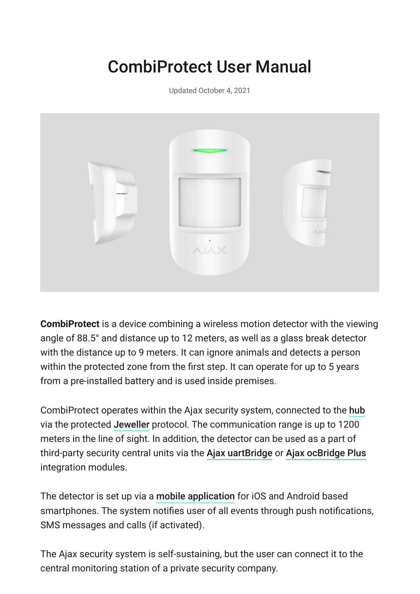# CombiProtect User Manual

Updated October 4, 2021



**CombiProtect** is a device combining a wireless motion detector with the viewing angle of 88.5° and distance up to 12 meters, as well as a glass break detector with the distance up to 9 meters. It can ignore animals and detects a person within the protected zone from the first step. It can operate for up to 5 years from a pre-installed battery and is used inside premises.

CombiProtect operates within the Ajax security system, connected to the [hub](https://ajax.systems/products/#block2) viathe protected Jeweller protocol. The communication range is up to 1200 meters in the line of sight. In addition, the detector can be used as a part of third-party security central units via the Ajax uartBridge or [Ajax ocBridge Plus](https://ajax.systems/products/ocbridgeplus/) integration modules.

Thedetector is set up via a mobile application for iOS and Android based smartphones. The system notifies user of all events through push notifications, SMS messages and calls (if activated).

The Ajax security system is self-sustaining, but the user can connect it to the central monitoring station of a private security company.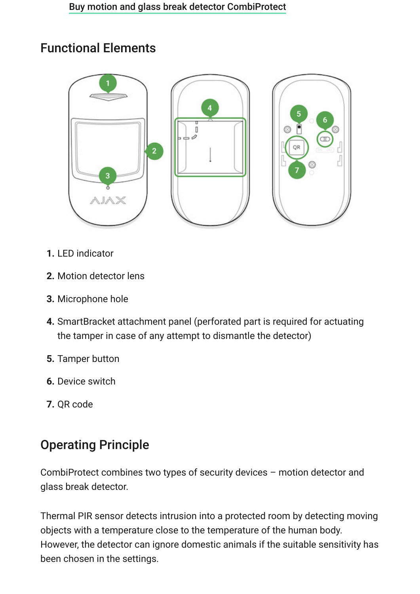### Functional Elements



- **1.** LED indicator
- **2.** Motion detector lens
- **3.** Microphone hole
- **4.** SmartBracket attachment panel (perforated part is required for actuating the tamper in case of any attempt to dismantle the detector)
- **5.** Tamper button
- **6.** Device switch
- **7.** QR code

## Operating Principle

CombiProtect combines two types of security devices – motion detector and glass break detector.

Thermal PIR sensor detects intrusion into a protected room by detecting moving objects with a temperature close to the temperature of the human body. However, the detector can ignore domestic animals if the suitable sensitivity has been chosen in the settings.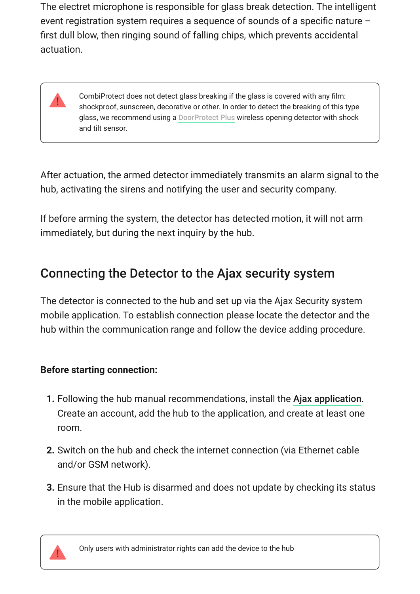The electret microphone is responsible for glass break detection. The intelligent event registration system requires a sequence of sounds of a specific nature – first dull blow, then ringing sound of falling chips, which prevents accidental actuation.

> CombiProtect does not detect glass breaking if the glass is covered with any film: shockproof, sunscreen, decorative or other. In order to detect the breaking of this type glass, we recommend using a DoorProtect Plus wireless opening detector with shock and tilt sensor.

After actuation, the armed detector immediately transmits an alarm signal to the hub, activating the sirens and notifying the user and security company.

If before arming the system, the detector has detected motion, it will not arm immediately, but during the next inquiry by the hub.

### Connecting the Detector to the Ajax security system

The detector is connected to the hub and set up via the Ajax Security system mobile application. To establish connection please locate the detector and the hub within the communication range and follow the device adding procedure.

### **Before starting connection:**

- **1.** Following the hub manual recommendations, install the Ajax application. Create an account, add the hub to the application, and create at least one room.
- **2.** Switch on the hub and check the internet connection (via Ethernet cable and/or GSM network).
- **3.** Ensure that the Hub is disarmed and does not update by checking its status in the mobile application.



Only users with administrator rights can add the device to the hub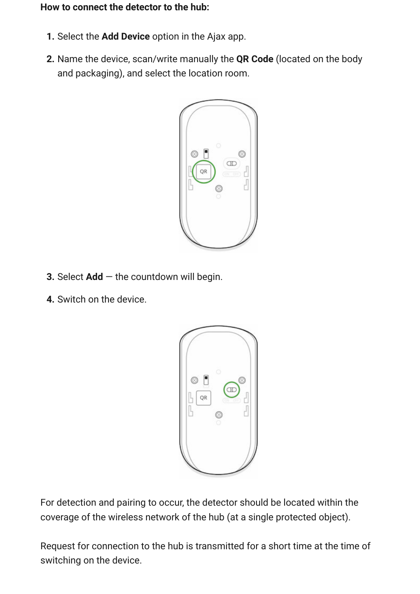#### **How to connect the detector to the hub:**

- **1.** Select the **Add Device** option in the Ajax app.
- **2.** Name the device, scan/write manually the **QR Code** (located on the body and packaging), and select the location room.



- **3.** Select **Add** the countdown will begin.
- **4.** Switch on the device.



For detection and pairing to occur, the detector should be located within the coverage of the wireless network of the hub (at a single protected object).

Request for connection to the hub is transmitted for a short time at the time of switching on the device.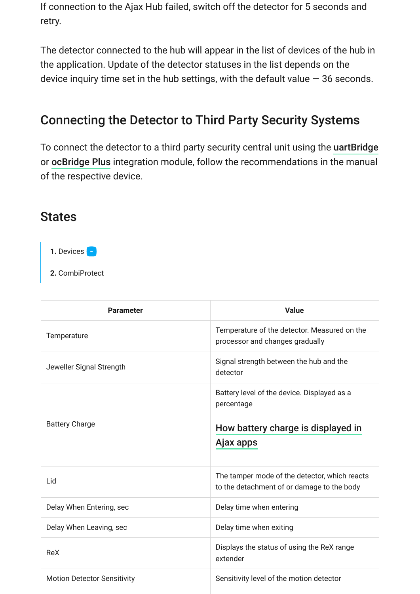If connection to the Ajax Hub failed, switch off the detector for 5 seconds and retry.

The detector connected to the hub will appear in the list of devices of the hub in the application. Update of the detector statuses in the list depends on the device inquiry time set in the hub settings, with the default value  $-36$  seconds.

### Connecting the Detector to Third Party Security Systems

To connect the detector to a third party security central unit using the [uartBridge](https://ajax.systems/products/uartbridge/) or ocBridge Plus integration module, follow the recommendations in the manual of the respective device.

### **States**

1. Devices **-**

**2.** CombiProtect

| <b>Parameter</b>                   | <b>Value</b>                                                                                                 |
|------------------------------------|--------------------------------------------------------------------------------------------------------------|
| Temperature                        | Temperature of the detector. Measured on the<br>processor and changes gradually                              |
| Jeweller Signal Strength           | Signal strength between the hub and the<br>detector                                                          |
| <b>Battery Charge</b>              | Battery level of the device. Displayed as a<br>percentage<br>How battery charge is displayed in<br>Ajax apps |
| Lid                                | The tamper mode of the detector, which reacts<br>to the detachment of or damage to the body                  |
| Delay When Entering, sec           | Delay time when entering                                                                                     |
| Delay When Leaving, sec            | Delay time when exiting                                                                                      |
| ReX                                | Displays the status of using the ReX range<br>extender                                                       |
| <b>Motion Detector Sensitivity</b> | Sensitivity level of the motion detector                                                                     |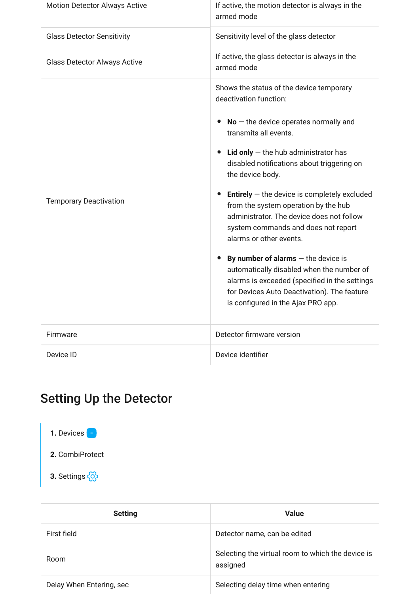| <b>Motion Detector Always Active</b> | If active, the motion detector is always in the<br>armed mode                                                                                                                                                                                                                                                                                                                                                                                                                                                                                                                                                                                                                                  |
|--------------------------------------|------------------------------------------------------------------------------------------------------------------------------------------------------------------------------------------------------------------------------------------------------------------------------------------------------------------------------------------------------------------------------------------------------------------------------------------------------------------------------------------------------------------------------------------------------------------------------------------------------------------------------------------------------------------------------------------------|
| <b>Glass Detector Sensitivity</b>    | Sensitivity level of the glass detector                                                                                                                                                                                                                                                                                                                                                                                                                                                                                                                                                                                                                                                        |
| <b>Glass Detector Always Active</b>  | If active, the glass detector is always in the<br>armed mode                                                                                                                                                                                                                                                                                                                                                                                                                                                                                                                                                                                                                                   |
| <b>Temporary Deactivation</b>        | Shows the status of the device temporary<br>deactivation function:<br>$No$ – the device operates normally and<br>transmits all events.<br>Lid only $-$ the hub administrator has<br>disabled notifications about triggering on<br>the device body.<br><b>Entirely</b> $-$ the device is completely excluded<br>from the system operation by the hub<br>administrator. The device does not follow<br>system commands and does not report<br>alarms or other events.<br>By number of alarms $-$ the device is<br>automatically disabled when the number of<br>alarms is exceeded (specified in the settings<br>for Devices Auto Deactivation). The feature<br>is configured in the Ajax PRO app. |
| Firmware                             | Detector firmware version                                                                                                                                                                                                                                                                                                                                                                                                                                                                                                                                                                                                                                                                      |
| Device ID                            | Device identifier                                                                                                                                                                                                                                                                                                                                                                                                                                                                                                                                                                                                                                                                              |

## Setting Up the Detector

1. Devices **-**

**2.** CombiProtect

**3.** Settings

| <b>Setting</b>           | <b>Value</b>                                                  |
|--------------------------|---------------------------------------------------------------|
| First field              | Detector name, can be edited                                  |
| Room                     | Selecting the virtual room to which the device is<br>assigned |
| Delay When Entering, sec | Selecting delay time when entering                            |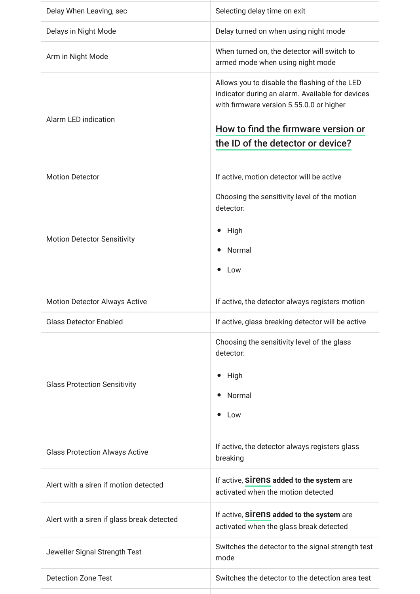| Delay When Leaving, sec                    | Selecting delay time on exit                                                                                                                                                                                              |
|--------------------------------------------|---------------------------------------------------------------------------------------------------------------------------------------------------------------------------------------------------------------------------|
| Delays in Night Mode                       | Delay turned on when using night mode                                                                                                                                                                                     |
| Arm in Night Mode                          | When turned on, the detector will switch to<br>armed mode when using night mode                                                                                                                                           |
| <b>Alarm LED indication</b>                | Allows you to disable the flashing of the LED<br>indicator during an alarm. Available for devices<br>with firmware version 5.55.0.0 or higher<br>How to find the firmware version or<br>the ID of the detector or device? |
| <b>Motion Detector</b>                     | If active, motion detector will be active                                                                                                                                                                                 |
| <b>Motion Detector Sensitivity</b>         | Choosing the sensitivity level of the motion<br>detector:<br>High<br>$\bullet$<br>Normal<br>$\bullet$<br>Low                                                                                                              |
| <b>Motion Detector Always Active</b>       | If active, the detector always registers motion                                                                                                                                                                           |
| <b>Glass Detector Enabled</b>              | If active, glass breaking detector will be active                                                                                                                                                                         |
| <b>Glass Protection Sensitivity</b>        | Choosing the sensitivity level of the glass<br>detector:<br>High<br>$\bullet$<br>Normal<br>$\bullet$<br>Low                                                                                                               |
| <b>Glass Protection Always Active</b>      | If active, the detector always registers glass<br>breaking                                                                                                                                                                |
| Alert with a siren if motion detected      | If active, SITENS added to the system are<br>activated when the motion detected                                                                                                                                           |
| Alert with a siren if glass break detected | If active, sirens added to the system are<br>activated when the glass break detected                                                                                                                                      |
| Jeweller Signal Strength Test              | Switches the detector to the signal strength test<br>mode                                                                                                                                                                 |
| <b>Detection Zone Test</b>                 | Switches the detector to the detection area test                                                                                                                                                                          |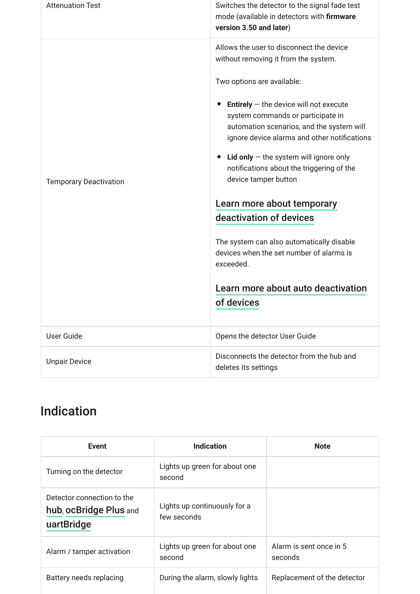| <b>Attenuation Test</b>       | Switches the detector to the signal fade test<br>mode (available in detectors with firmware<br>version 3.50 and later)                                                            |
|-------------------------------|-----------------------------------------------------------------------------------------------------------------------------------------------------------------------------------|
| <b>Temporary Deactivation</b> | Allows the user to disconnect the device<br>without removing it from the system.                                                                                                  |
|                               | Two options are available:                                                                                                                                                        |
|                               | <b>Entirely</b> $-$ the device will not execute<br>system commands or participate in<br>automation scenarios, and the system will<br>ignore device alarms and other notifications |
|                               | Lid only $-$ the system will ignore only<br>notifications about the triggering of the<br>device tamper button                                                                     |
|                               | Learn more about temporary                                                                                                                                                        |
|                               | deactivation of devices                                                                                                                                                           |
|                               | The system can also automatically disable<br>devices when the set number of alarms is<br>exceeded.                                                                                |
|                               | Learn more about auto deactivation                                                                                                                                                |
|                               | of devices                                                                                                                                                                        |
| <b>User Guide</b>             | Opens the detector User Guide                                                                                                                                                     |
| <b>Unpair Device</b>          | Disconnects the detector from the hub and<br>deletes its settings                                                                                                                 |

## Indication

| Event                                                              | <b>Indication</b>                           | <b>Note</b>                        |
|--------------------------------------------------------------------|---------------------------------------------|------------------------------------|
| Turning on the detector                                            | Lights up green for about one<br>second     |                                    |
| Detector connection to the<br>hub, ocBridge Plus and<br>uartBridge | Lights up continuously for a<br>few seconds |                                    |
| Alarm / tamper activation                                          | Lights up green for about one<br>second     | Alarm is sent once in 5<br>seconds |
| Battery needs replacing                                            | During the alarm, slowly lights             | Replacement of the detector        |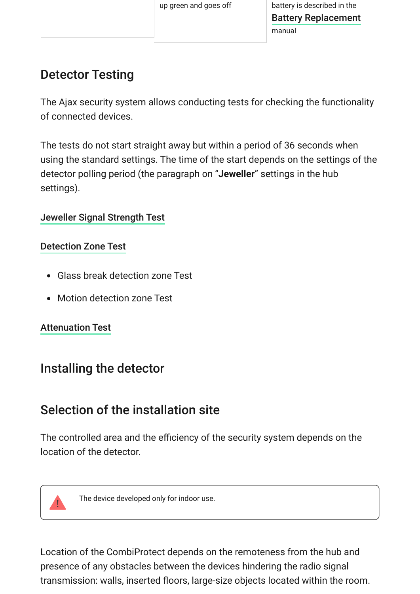## Detector Testing

The Ajax security system allows conducting tests for checking the functionality of connected devices.

The tests do not start straight away but within a period of 36 seconds when using the standard settings. The time of the start depends on the settings of the detector polling period (the paragraph on "**Jeweller**" settings in the hub settings).

### [Jeweller Signal Strength Test](https://support.ajax.systems/en/what-is-signal-strenght-test/)

### [Detection Zone Test](https://support.ajax.systems/en/what-is-detection-zone-test/)

- Glass break detection zone Test
- Motion detection zone Test

### [Attenuation Test](https://support.ajax.systems/en/what-is-attenuation-test/)

## Installing the detector

## Selection of the installation site

The controlled area and the efficiency of the security system depends on the location of the detector.



The device developed only for indoor use.

Location of the CombiProtect depends on the remoteness from the hub and presence of any obstacles between the devices hindering the radio signal transmission: walls, inserted floors, large-size objects located within the room.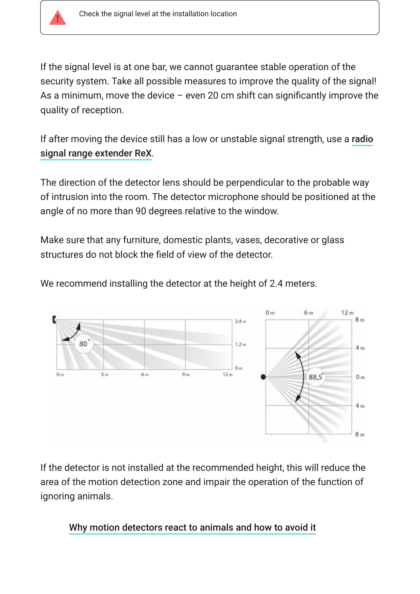

If the signal level is at one bar, we cannot guarantee stable operation of the security system. Take all possible measures to improve the quality of the signal! As a minimum, move the device  $-$  even 20 cm shift can significantly improve the quality of reception.

[If after moving the device still has a low or unstable signal strength, use a](https://ajax.systems/products/rex/) **radio** . signal range extender ReX

The direction of the detector lens should be perpendicular to the probable way of intrusion into the room. The detector microphone should be positioned at the angle of no more than 90 degrees relative to the window.

Make sure that any furniture, domestic plants, vases, decorative or glass structures do not block the field of view of the detector.



We recommend installing the detector at the height of 2.4 meters.

If the detector is not installed at the recommended height, this will reduce the area of the motion detection zone and impair the operation of the function of ignoring animals.

[Why motion detectors react to animals and how to avoid it](https://ajax.systems/blog/what-is-pet-immunity-in-motion-detectors-and-how-to-use-it-correctly/)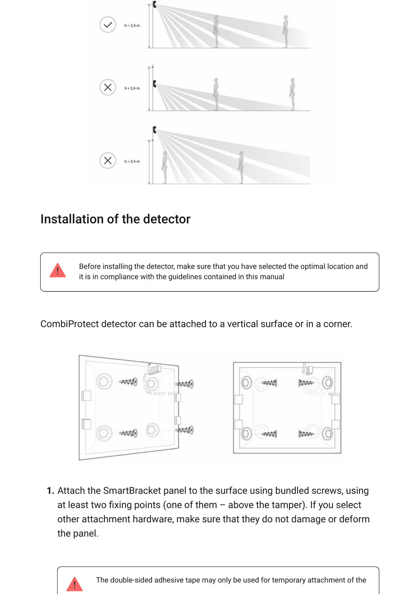

### Installation of the detector

Before installing the detector, make sure that you have selected the optimal location and it is in compliance with the guidelines contained in this manual

CombiProtect detector can be attached to a vertical surface or in a corner.



**1.** Attach the SmartBracket panel to the surface using bundled screws, using at least two fixing points (one of them – above the tamper). If you select other attachment hardware, make sure that they do not damage or deform the panel.

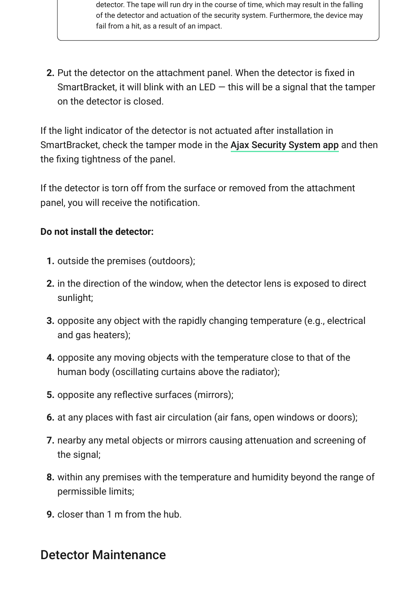detector. The tape will run dry in the course of time, which may result in the falling of the detector and actuation of the security system. Furthermore, the device may fail from a hit, as a result of an impact.

**2.** Put the detector on the attachment panel. When the detector is fixed in SmartBracket, it will blink with an LED  $-$  this will be a signal that the tamper on the detector is closed.

If the light indicator of the detector is not actuated after installation in SmartBracket, check the tamper mode in the Ajax Security System app and then the fixing tightness of the panel.

If the detector is torn off from the surface or removed from the attachment panel, you will receive the notification.

#### **Do not install the detector:**

- **1.** outside the premises (outdoors);
- **2.** in the direction of the window, when the detector lens is exposed to direct sunlight;
- **3.** opposite any object with the rapidly changing temperature (e.g., electrical and gas heaters);
- **4.** opposite any moving objects with the temperature close to that of the human body (oscillating curtains above the radiator);
- **5.** opposite any reflective surfaces (mirrors);
- **6.** at any places with fast air circulation (air fans, open windows or doors);
- **7.** nearby any metal objects or mirrors causing attenuation and screening of the signal;
- **8.** within any premises with the temperature and humidity beyond the range of permissible limits;
- **9.** closer than 1 m from the hub.

### Detector Maintenance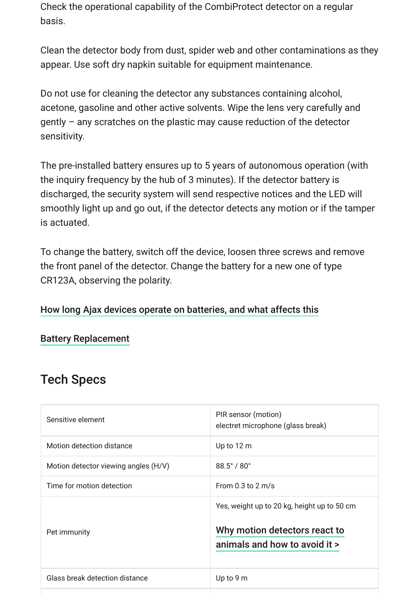Check the operational capability of the CombiProtect detector on a regular basis.

Clean the detector body from dust, spider web and other contaminations as they appear. Use soft dry napkin suitable for equipment maintenance.

Do not use for cleaning the detector any substances containing alcohol, acetone, gasoline and other active solvents. Wipe the lens very carefully and gently – any scratches on the plastic may cause reduction of the detector sensitivity.

The pre-installed battery ensures up to 5 years of autonomous operation (with the inquiry frequency by the hub of 3 minutes). If the detector battery is discharged, the security system will send respective notices and the LED will smoothly light up and go out, if the detector detects any motion or if the tamper is actuated.

To change the battery, switch off the device, loosen three screws and remove the front panel of the detector. Change the battery for a new one of type CR123A, observing the polarity.

#### [How long Ajax devices operate on batteries, and what affects this](https://support.ajax.systems/en/how-long-operate-from-batteries/)

#### [Battery Replacement](https://support.ajax.systems/en/how-to-replace-batteries-in-combiprotect/)

### Tech Specs

| Sensitive element                    | PIR sensor (motion)<br>electret microphone (glass break)                                                      |
|--------------------------------------|---------------------------------------------------------------------------------------------------------------|
| Motion detection distance            | Up to $12 m$                                                                                                  |
| Motion detector viewing angles (H/V) | $88.5^{\circ}$ / $80^{\circ}$                                                                                 |
| Time for motion detection            | From $0.3$ to $2 \text{ m/s}$                                                                                 |
| Pet immunity                         | Yes, weight up to 20 kg, height up to 50 cm<br>Why motion detectors react to<br>animals and how to avoid it > |
| Glass break detection distance       | Up to $9m$                                                                                                    |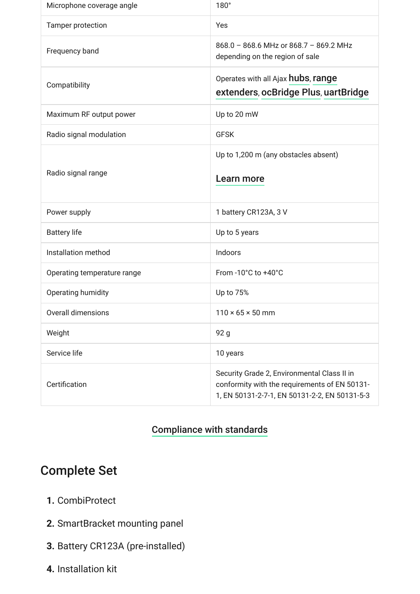| Microphone coverage angle   | $180^\circ$                                                                                                                                   |
|-----------------------------|-----------------------------------------------------------------------------------------------------------------------------------------------|
| Tamper protection           | Yes                                                                                                                                           |
| Frequency band              | 868.0 - 868.6 MHz or 868.7 - 869.2 MHz<br>depending on the region of sale                                                                     |
| Compatibility               | Operates with all Ajax hubs, range<br>extenders, ocBridge Plus, uartBridge                                                                    |
| Maximum RF output power     | Up to 20 mW                                                                                                                                   |
| Radio signal modulation     | <b>GFSK</b>                                                                                                                                   |
| Radio signal range          | Up to 1,200 m (any obstacles absent)                                                                                                          |
|                             | Learn more                                                                                                                                    |
| Power supply                | 1 battery CR123A, 3 V                                                                                                                         |
| <b>Battery life</b>         | Up to 5 years                                                                                                                                 |
| Installation method         | Indoors                                                                                                                                       |
| Operating temperature range | From -10 $^{\circ}$ C to +40 $^{\circ}$ C                                                                                                     |
| Operating humidity          | Up to 75%                                                                                                                                     |
| Overall dimensions          | $110 \times 65 \times 50$ mm                                                                                                                  |
| Weight                      | 92 g                                                                                                                                          |
| Service life                | 10 years                                                                                                                                      |
| Certification               | Security Grade 2, Environmental Class II in<br>conformity with the requirements of EN 50131-<br>1, EN 50131-2-7-1, EN 50131-2-2, EN 50131-5-3 |

### [Compliance with standards](https://ajax.systems/standards/)

## Complete Set

- **1.** CombiProtect
- **2.** SmartBracket mounting panel
- **3.** Battery CR123A (pre-installed)
- **4.** Installation kit